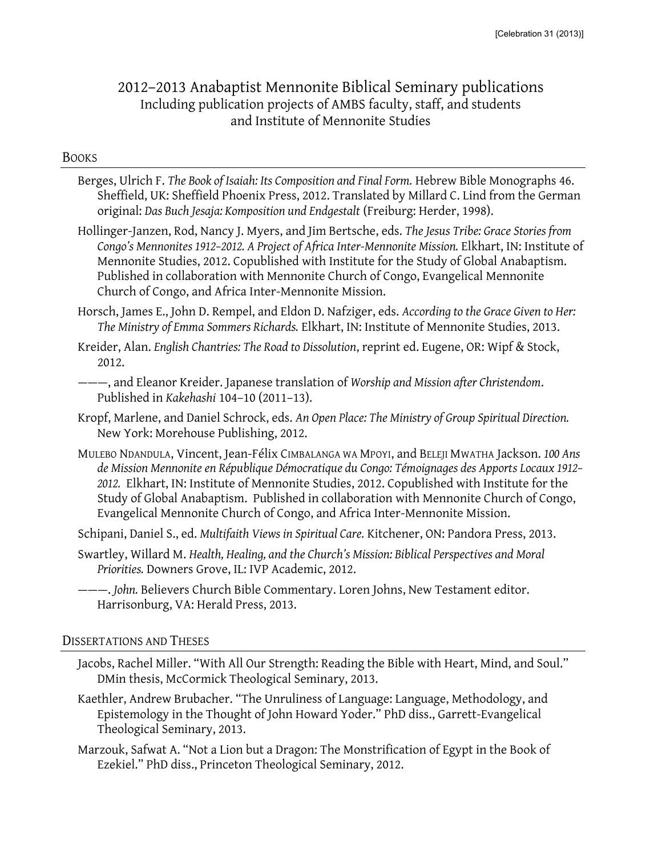# 2012–2013 Anabaptist Mennonite Biblical Seminary publications Including publication projects of AMBS faculty, staff, and students and Institute of Mennonite Studies

#### BOOKS

Berges, Ulrich F. *The Book of Isaiah: Its Composition and Final Form.* Hebrew Bible Monographs 46. Sheffield, UK: Sheffield Phoenix Press, 2012. Translated by Millard C. Lind from the German original: *Das Buch Jesaja: Komposition und Endgestalt* (Freiburg: Herder, 1998).

Hollinger-Janzen, Rod, Nancy J. Myers, and Jim Bertsche, eds. *The Jesus Tribe: Grace Stories from Congo's Mennonites 1912–2012. A Project of Africa Inter-Mennonite Mission.* Elkhart, IN: Institute of Mennonite Studies, 2012. Copublished with Institute for the Study of Global Anabaptism. Published in collaboration with Mennonite Church of Congo, Evangelical Mennonite Church of Congo, and Africa Inter-Mennonite Mission.

Horsch, James E., John D. Rempel, and Eldon D. Nafziger, eds. *According to the Grace Given to Her: The Ministry of Emma Sommers Richards.* Elkhart, IN: Institute of Mennonite Studies, 2013.

- Kropf, Marlene, and Daniel Schrock, eds. *An Open Place: The Ministry of Group Spiritual Direction.* New York: Morehouse Publishing, 2012.
- MULEBO NDANDULA, Vincent, Jean-Félix CIMBALANGA WA MPOYI, and BELEJI MWATHA Jackson. *100 Ans de Mission Mennonite en République Démocratique du Congo: Témoignages des Apports Locaux 1912– 2012.* Elkhart, IN: Institute of Mennonite Studies, 2012. Copublished with Institute for the Study of Global Anabaptism. Published in collaboration with Mennonite Church of Congo, Evangelical Mennonite Church of Congo, and Africa Inter-Mennonite Mission.

Schipani, Daniel S., ed. *Multifaith Views in Spiritual Care.* Kitchener, ON: Pandora Press, 2013.

- Swartley, Willard M. *Health, Healing, and the Church's Mission: Biblical Perspectives and Moral Priorities.* Downers Grove, IL: IVP Academic, 2012.
- ———. *John.* Believers Church Bible Commentary. Loren Johns, New Testament editor. Harrisonburg, VA: Herald Press, 2013.

#### DISSERTATIONS AND THESES

- Jacobs, Rachel Miller. "With All Our Strength: Reading the Bible with Heart, Mind, and Soul." DMin thesis, McCormick Theological Seminary, 2013.
- Kaethler, Andrew Brubacher. "The Unruliness of Language: Language, Methodology, and Epistemology in the Thought of John Howard Yoder." PhD diss., Garrett-Evangelical Theological Seminary, 2013.
- Marzouk, Safwat A. "Not a Lion but a Dragon: The Monstrification of Egypt in the Book of Ezekiel." PhD diss., Princeton Theological Seminary, 2012.

Kreider, Alan. *English Chantries: The Road to Dissolution*, reprint ed. Eugene, OR: Wipf & Stock, 2012.

<sup>———</sup>, and Eleanor Kreider. Japanese translation of *Worship and Mission after Christendom*. Published in *Kakehashi* 104–10 (2011–13).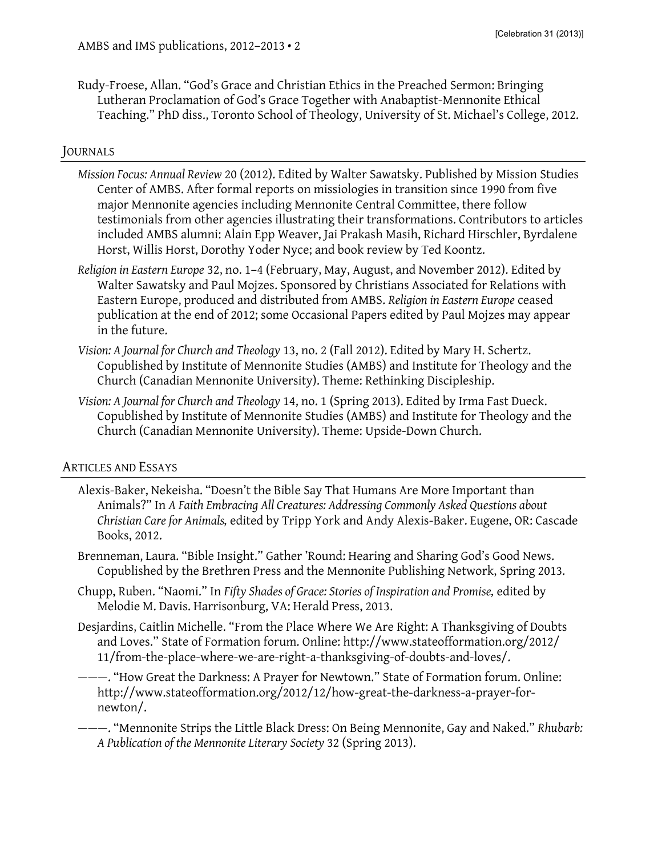Rudy-Froese, Allan. "God's Grace and Christian Ethics in the Preached Sermon: Bringing Lutheran Proclamation of God's Grace Together with Anabaptist-Mennonite Ethical Teaching." PhD diss., Toronto School of Theology, University of St. Michael's College, 2012.

## JOURNALS

- *Mission Focus: Annual Review* 20 (2012). Edited by Walter Sawatsky. Published by Mission Studies Center of AMBS. After formal reports on missiologies in transition since 1990 from five major Mennonite agencies including Mennonite Central Committee, there follow testimonials from other agencies illustrating their transformations. Contributors to articles included AMBS alumni: Alain Epp Weaver, Jai Prakash Masih, Richard Hirschler, Byrdalene Horst, Willis Horst, Dorothy Yoder Nyce; and book review by Ted Koontz.
- *Religion in Eastern Europe* 32, no. 1–4 (February, May, August, and November 2012). Edited by Walter Sawatsky and Paul Mojzes. Sponsored by Christians Associated for Relations with Eastern Europe, produced and distributed from AMBS. *Religion in Eastern Europe* ceased publication at the end of 2012; some Occasional Papers edited by Paul Mojzes may appear in the future.
- *Vision: A Journal for Church and Theology* 13, no. 2 (Fall 2012). Edited by Mary H. Schertz. Copublished by Institute of Mennonite Studies (AMBS) and Institute for Theology and the Church (Canadian Mennonite University). Theme: Rethinking Discipleship.
- *Vision: A Journal for Church and Theology* 14, no. 1 (Spring 2013). Edited by Irma Fast Dueck. Copublished by Institute of Mennonite Studies (AMBS) and Institute for Theology and the Church (Canadian Mennonite University). Theme: Upside-Down Church.

## ARTICLES AND ESSAYS

- Alexis-Baker, Nekeisha. "Doesn't the Bible Say That Humans Are More Important than Animals?" In *A Faith Embracing All Creatures: Addressing Commonly Asked Questions about Christian Care for Animals,* edited by Tripp York and Andy Alexis-Baker. Eugene, OR: Cascade Books, 2012.
- Brenneman, Laura. "Bible Insight." Gather 'Round: Hearing and Sharing God's Good News. Copublished by the Brethren Press and the Mennonite Publishing Network, Spring 2013.
- Chupp, Ruben. "Naomi." In *Fifty Shades of Grace: Stories of Inspiration and Promise,* edited by Melodie M. Davis. Harrisonburg, VA: Herald Press, 2013.
- Desjardins, Caitlin Michelle. "From the Place Where We Are Right: A Thanksgiving of Doubts and Loves." State of Formation forum. Online: http://www.stateofformation.org/2012/ 11/from-the-place-where-we-are-right-a-thanksgiving-of-doubts-and-loves/.
- ———. "How Great the Darkness: A Prayer for Newtown." State of Formation forum. Online: [http://www.stateofformation.org/2012/12/how-great-the-darkness-a-prayer-for](http://www.stateofformation.org/2012/12/how-great-the-darkness-a-prayer-for-newton/)[newton/.](http://www.stateofformation.org/2012/12/how-great-the-darkness-a-prayer-for-newton/)

———. "Mennonite Strips the Little Black Dress: On Being Mennonite, Gay and Naked." *Rhubarb: A Publication of the Mennonite Literary Society* 32 (Spring 2013).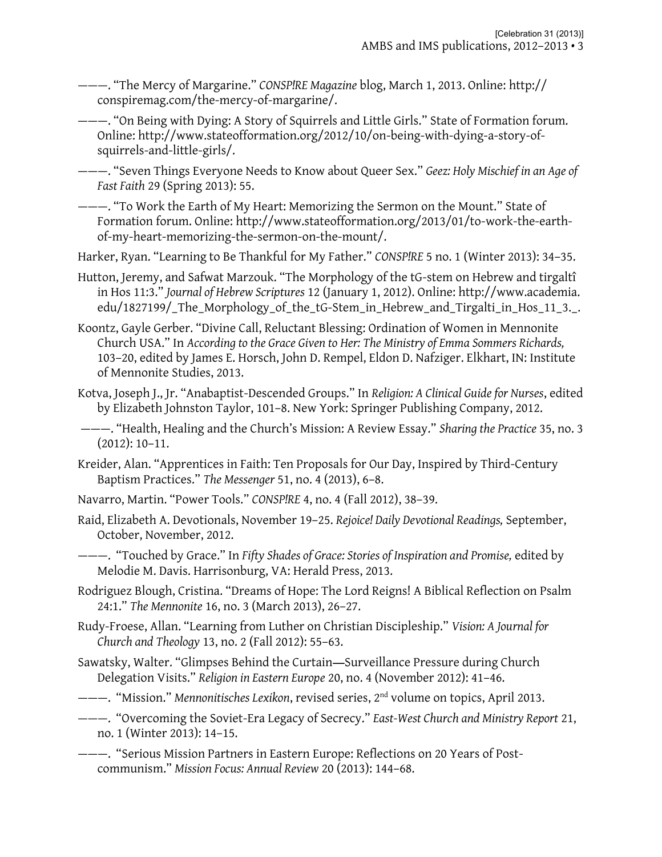———. "The Mercy of Margarine." *CONSP!RE Magazine* blog, March 1, 2013. Online: http:// conspiremag.com/the-mercy-of-margarine/.

———. "On Being with Dying: A Story of Squirrels and Little Girls." State of Formation forum. Online: http://www.stateofformation.org/2012/10/on-being-with-dying-a-story-ofsquirrels-and-little-girls/.

———. "Seven Things Everyone Needs to Know about Queer Sex." *Geez: Holy Mischief in an Age of Fast Faith* 29 (Spring 2013): 55.

———. "To Work the Earth of My Heart: Memorizing the Sermon on the Mount." State of Formation forum. Online: [http://www.stateofformation.org/2013/01/to-work-the-earth](http://www.stateofformation.org/2013/01/to-work-the-earth-of-my-heart-memorizing-the-sermon-on-the-mount/)[of-my-heart-memorizing-the-sermon-on-the-mount/.](http://www.stateofformation.org/2013/01/to-work-the-earth-of-my-heart-memorizing-the-sermon-on-the-mount/)

Harker, Ryan. "Learning to Be Thankful for My Father." *CONSP!RE* 5 no. 1 (Winter 2013): 34–35.

- Hutton, Jeremy, and Safwat Marzouk. "The Morphology of the tG-stem on Hebrew and tirgaltî in Hos 11:3." *Journal of Hebrew Scriptures* 12 (January 1, 2012). Online: http://www.academia. edu/1827199/\_The\_Morphology\_of\_the\_tG-Stem\_in\_Hebrew\_and\_Tirgalti\_in\_Hos\_11\_3.\_.
- Koontz, Gayle Gerber. "Divine Call, Reluctant Blessing: Ordination of Women in Mennonite Church USA." In *According to the Grace Given to Her: The Ministry of Emma Sommers Richards,*  103–20, edited by James E. Horsch, John D. Rempel, Eldon D. Nafziger. Elkhart, IN: Institute of Mennonite Studies, 2013.
- Kotva, Joseph J., Jr. "Anabaptist-Descended Groups." In *Religion: A Clinical Guide for Nurses*, edited by Elizabeth Johnston Taylor, 101–8. New York: Springer Publishing Company, 2012.
- ———. "Health, Healing and the Church's Mission: A Review Essay." *Sharing the Practice* 35, no. 3 (2012): 10–11.
- Kreider, Alan. "Apprentices in Faith: Ten Proposals for Our Day, Inspired by Third-Century Baptism Practices." *The Messenger* 51, no. 4 (2013), 6–8.
- Navarro, Martin. "Power Tools." *CONSP!RE* 4, no. 4 (Fall 2012), 38–39.
- Raid, Elizabeth A. Devotionals, November 19–25. *Rejoice! Daily Devotional Readings,* September, October, November, 2012.
- ———. "Touched by Grace." In *Fifty Shades of Grace: Stories of Inspiration and Promise,* edited by Melodie M. Davis. Harrisonburg, VA: Herald Press, 2013.
- Rodriguez Blough, Cristina. "Dreams of Hope: The Lord Reigns! A Biblical Reflection on Psalm 24:1." *The Mennonite* 16, no. 3 (March 2013), 26–27.
- Rudy-Froese, Allan. "Learning from Luther on Christian Discipleship." *Vision: A Journal for Church and Theology* 13, no. 2 (Fall 2012): 55–63.
- Sawatsky, Walter. "Glimpses Behind the Curtain—Surveillance Pressure during Church Delegation Visits." *Religion in Eastern Europe* 20, no. 4 (November 2012): 41–46.
- ———. "Mission." *Mennonitisches Lexikon*, revised series, 2nd volume on topics, April 2013.
- ———. "Overcoming the Soviet-Era Legacy of Secrecy." *East-West Church and Ministry Report* 21, no. 1 (Winter 2013): 14–15.
- ———. "Serious Mission Partners in Eastern Europe: Reflections on 20 Years of Postcommunism." *Mission Focus: Annual Review* 20 (2013): 144–68.